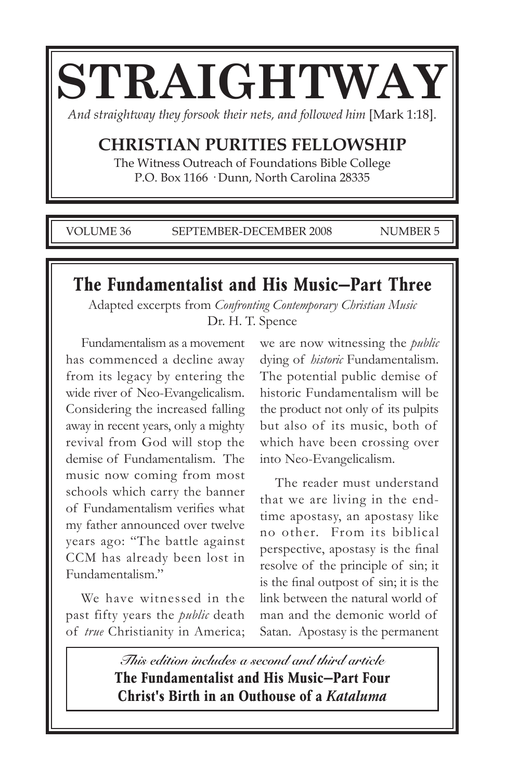# **STRAIGHTWAY**

*And straightway they forsook their nets, and followed him* [Mark 1:18].

# **CHRISTIAN PURITIES FELLOWSHIP**

The Witness Outreach of Foundations Bible College P.O. Box 1166 · Dunn, North Carolina 28335

VOLUME 36 SEPTEMBER-DECEMBER 2008 NUMBER 5

# **The Fundamentalist and His Music—Part Three**

Adapted excerpts from *Confronting Contemporary Christian Music* Dr. H. T. Spence

Fundamentalism as a movement has commenced a decline away from its legacy by entering the wide river of Neo-Evangelicalism. Considering the increased falling away in recent years, only a mighty revival from God will stop the demise of Fundamentalism. The music now coming from most schools which carry the banner of Fundamentalism verifies what my father announced over twelve years ago: "The battle against CCM has already been lost in Fundamentalism."

We have witnessed in the past fifty years the *public* death of *true* Christianity in America;

we are now witnessing the *public* dying of *historic* Fundamentalism. The potential public demise of historic Fundamentalism will be the product not only of its pulpits but also of its music, both of which have been crossing over into Neo-Evangelicalism.

The reader must understand that we are living in the endtime apostasy, an apostasy like no other. From its biblical perspective, apostasy is the final resolve of the principle of sin; it is the final outpost of sin; it is the link between the natural world of man and the demonic world of Satan. Apostasy is the permanent

**This edition includes a second and third article The Fundamentalist and His Music—Part Four Christ's Birth in an Outhouse of a** *Kataluma*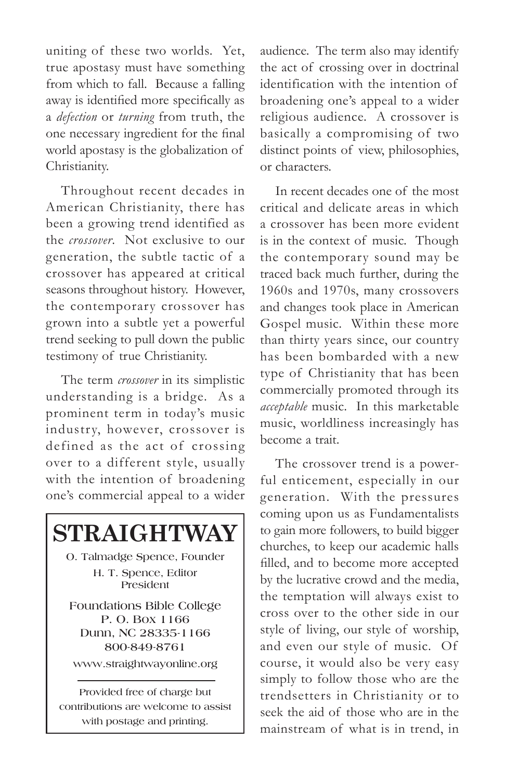uniting of these two worlds. Yet, true apostasy must have something from which to fall. Because a falling away is identified more specifically as a *defection* or *turning* from truth, the one necessary ingredient for the final world apostasy is the globalization of Christianity.

Throughout recent decades in American Christianity, there has been a growing trend identified as the *crossover*. Not exclusive to our generation, the subtle tactic of a crossover has appeared at critical seasons throughout history. However, the contemporary crossover has grown into a subtle yet a powerful trend seeking to pull down the public testimony of true Christianity.

The term *crossover* in its simplistic understanding is a bridge. As a prominent term in today's music industry, however, crossover is defined as the act of crossing over to a different style, usually with the intention of broadening one's commercial appeal to a wider



audience. The term also may identify the act of crossing over in doctrinal identification with the intention of broadening one's appeal to a wider religious audience. A crossover is basically a compromising of two distinct points of view, philosophies, or characters.

In recent decades one of the most critical and delicate areas in which a crossover has been more evident is in the context of music. Though the contemporary sound may be traced back much further, during the 1960s and 1970s, many crossovers and changes took place in American Gospel music. Within these more than thirty years since, our country has been bombarded with a new type of Christianity that has been commercially promoted through its *acceptable* music. In this marketable music, worldliness increasingly has become a trait.

The crossover trend is a powerful enticement, especially in our generation. With the pressures coming upon us as Fundamentalists to gain more followers, to build bigger churches, to keep our academic halls filled, and to become more accepted by the lucrative crowd and the media, the temptation will always exist to cross over to the other side in our style of living, our style of worship, and even our style of music. Of course, it would also be very easy simply to follow those who are the trendsetters in Christianity or to seek the aid of those who are in the mainstream of what is in trend, in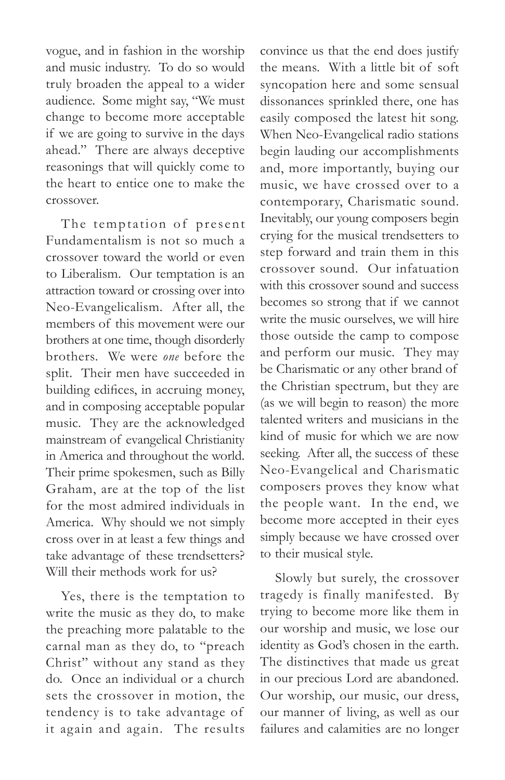vogue, and in fashion in the worship and music industry. To do so would truly broaden the appeal to a wider audience. Some might say, "We must change to become more acceptable if we are going to survive in the days ahead." There are always deceptive reasonings that will quickly come to the heart to entice one to make the crossover.

The temptation of present Fundamentalism is not so much a crossover toward the world or even to Liberalism. Our temptation is an attraction toward or crossing over into Neo-Evangelicalism. After all, the members of this movement were our brothers at one time, though disorderly brothers. We were *one* before the split. Their men have succeeded in building edifices, in accruing money, and in composing acceptable popular music. They are the acknowledged mainstream of evangelical Christianity in America and throughout the world. Their prime spokesmen, such as Billy Graham, are at the top of the list for the most admired individuals in America. Why should we not simply cross over in at least a few things and take advantage of these trendsetters? Will their methods work for us?

Yes, there is the temptation to write the music as they do, to make the preaching more palatable to the carnal man as they do, to "preach Christ" without any stand as they do. Once an individual or a church sets the crossover in motion, the tendency is to take advantage of it again and again. The results

convince us that the end does justify the means. With a little bit of soft syncopation here and some sensual dissonances sprinkled there, one has easily composed the latest hit song. When Neo-Evangelical radio stations begin lauding our accomplishments and, more importantly, buying our music, we have crossed over to a contemporary, Charismatic sound. Inevitably, our young composers begin crying for the musical trendsetters to step forward and train them in this crossover sound. Our infatuation with this crossover sound and success becomes so strong that if we cannot write the music ourselves, we will hire those outside the camp to compose and perform our music. They may be Charismatic or any other brand of the Christian spectrum, but they are (as we will begin to reason) the more talented writers and musicians in the kind of music for which we are now seeking. After all, the success of these Neo-Evangelical and Charismatic composers proves they know what the people want. In the end, we become more accepted in their eyes simply because we have crossed over to their musical style.

Slowly but surely, the crossover tragedy is finally manifested. By trying to become more like them in our worship and music, we lose our identity as God's chosen in the earth. The distinctives that made us great in our precious Lord are abandoned. Our worship, our music, our dress, our manner of living, as well as our failures and calamities are no longer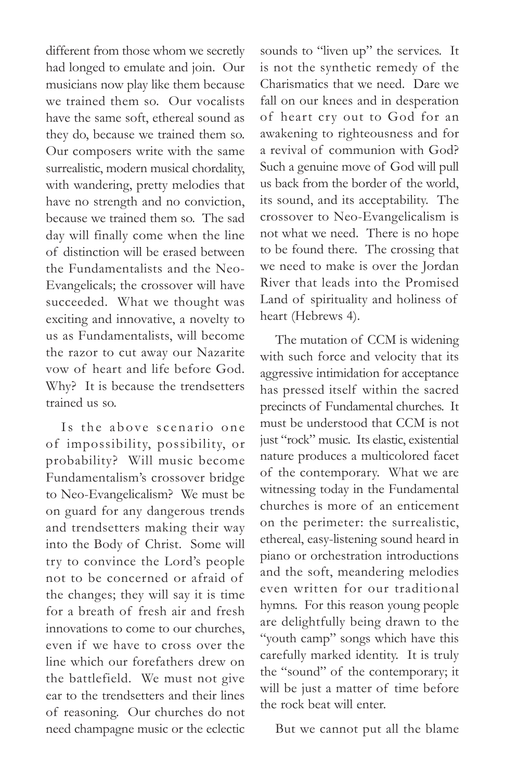different from those whom we secretly had longed to emulate and join. Our musicians now play like them because we trained them so. Our vocalists have the same soft, ethereal sound as they do, because we trained them so. Our composers write with the same surrealistic, modern musical chordality, with wandering, pretty melodies that have no strength and no conviction, because we trained them so. The sad day will finally come when the line of distinction will be erased between the Fundamentalists and the Neo-Evangelicals; the crossover will have succeeded. What we thought was exciting and innovative, a novelty to us as Fundamentalists, will become the razor to cut away our Nazarite vow of heart and life before God. Why? It is because the trendsetters trained us so.

Is the above scenario one of impossibility, possibility, or probability? Will music become Fundamentalism's crossover bridge to Neo-Evangelicalism? We must be on guard for any dangerous trends and trendsetters making their way into the Body of Christ. Some will try to convince the Lord's people not to be concerned or afraid of the changes; they will say it is time for a breath of fresh air and fresh innovations to come to our churches, even if we have to cross over the line which our forefathers drew on the battlefield. We must not give ear to the trendsetters and their lines of reasoning. Our churches do not need champagne music or the eclectic

sounds to "liven up" the services. It is not the synthetic remedy of the Charismatics that we need. Dare we fall on our knees and in desperation of heart cry out to God for an awakening to righteousness and for a revival of communion with God? Such a genuine move of God will pull us back from the border of the world, its sound, and its acceptability. The crossover to Neo-Evangelicalism is not what we need. There is no hope to be found there. The crossing that we need to make is over the Jordan River that leads into the Promised Land of spirituality and holiness of heart (Hebrews 4).

The mutation of CCM is widening with such force and velocity that its aggressive intimidation for acceptance has pressed itself within the sacred precincts of Fundamental churches. It must be understood that CCM is not just "rock" music. Its elastic, existential nature produces a multicolored facet of the contemporary. What we are witnessing today in the Fundamental churches is more of an enticement on the perimeter: the surrealistic, ethereal, easy-listening sound heard in piano or orchestration introductions and the soft, meandering melodies even written for our traditional hymns. For this reason young people are delightfully being drawn to the "youth camp" songs which have this carefully marked identity. It is truly the "sound" of the contemporary; it will be just a matter of time before the rock beat will enter.

But we cannot put all the blame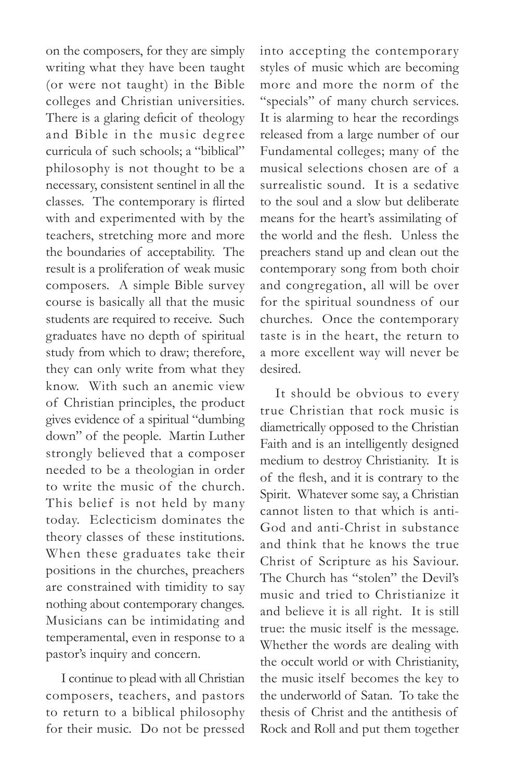on the composers, for they are simply writing what they have been taught (or were not taught) in the Bible colleges and Christian universities. There is a glaring deficit of theology and Bible in the music degree curricula of such schools; a "biblical" philosophy is not thought to be a necessary, consistent sentinel in all the classes. The contemporary is flirted with and experimented with by the teachers, stretching more and more the boundaries of acceptability. The result is a proliferation of weak music composers. A simple Bible survey course is basically all that the music students are required to receive. Such graduates have no depth of spiritual study from which to draw; therefore, they can only write from what they know. With such an anemic view of Christian principles, the product gives evidence of a spiritual "dumbing down" of the people. Martin Luther strongly believed that a composer needed to be a theologian in order to write the music of the church. This belief is not held by many today. Eclecticism dominates the theory classes of these institutions. When these graduates take their positions in the churches, preachers are constrained with timidity to say nothing about contemporary changes. Musicians can be intimidating and temperamental, even in response to a pastor's inquiry and concern.

I continue to plead with all Christian composers, teachers, and pastors to return to a biblical philosophy for their music. Do not be pressed

into accepting the contemporary styles of music which are becoming more and more the norm of the "specials" of many church services. It is alarming to hear the recordings released from a large number of our Fundamental colleges; many of the musical selections chosen are of a surrealistic sound. It is a sedative to the soul and a slow but deliberate means for the heart's assimilating of the world and the flesh. Unless the preachers stand up and clean out the contemporary song from both choir and congregation, all will be over for the spiritual soundness of our churches. Once the contemporary taste is in the heart, the return to a more excellent way will never be desired.

It should be obvious to every true Christian that rock music is diametrically opposed to the Christian Faith and is an intelligently designed medium to destroy Christianity. It is of the flesh, and it is contrary to the Spirit. Whatever some say, a Christian cannot listen to that which is anti-God and anti-Christ in substance and think that he knows the true Christ of Scripture as his Saviour. The Church has "stolen" the Devil's music and tried to Christianize it and believe it is all right. It is still true: the music itself is the message. Whether the words are dealing with the occult world or with Christianity, the music itself becomes the key to the underworld of Satan. To take the thesis of Christ and the antithesis of Rock and Roll and put them together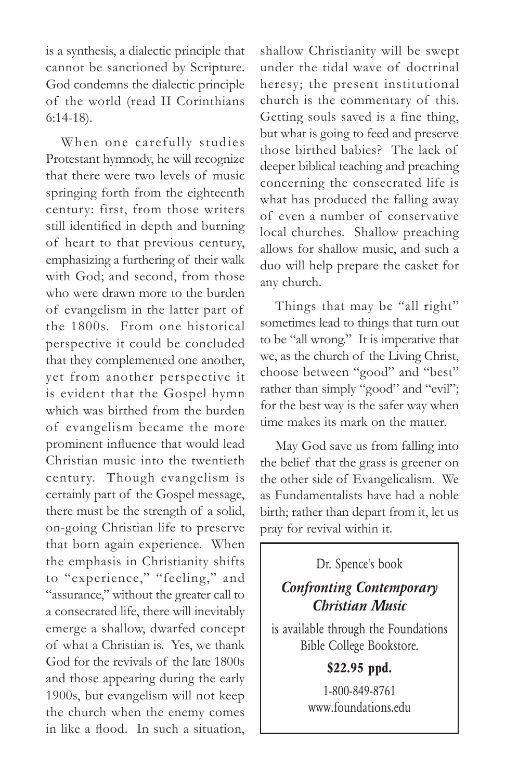is a synthesis, a dialectic principle that cannot be sanctioned by Scripture. God condemns the dialectic principle of the world (read II Corinthians 6:14-18).

When one carefully studies Protestant hymnody, he will recognize that there were two levels of music springing forth from the eighteenth century: first, from those writers still identified in depth and burning of heart to that previous century, emphasizing a furthering of their walk with God; and second, from those who were drawn more to the burden of evangelism in the latter part of the 1800s. From one historical perspective it could be concluded that they complemented one another, yet from another perspective it is evident that the Gospel hymn which was birthed from the burden of evangelism became the more prominent influence that would lead Christian music into the twentieth century. Though evangelism is certainly part of the Gospel message, there must be the strength of a solid, on-going Christian life to preserve that born again experience. When the emphasis in Christianity shifts to "experience," "feeling," and "assurance," without the greater call to a consecrated life, there will inevitably emerge a shallow, dwarfed concept of what a Christian is. Yes, we thank God for the revivals of the late 1800s and those appearing during the early 1900s, but evangelism will not keep the church when the enemy comes in like a flood. In such a situation,

shallow Christianity will be swept under the tidal wave of doctrinal heresy; the present institutional church is the commentary of this. Getting souls saved is a fine thing, but what is going to feed and preserve those birthed babies? The lack of deeper biblical teaching and preaching concerning the consecrated life is what has produced the falling away of even a number of conservative local churches. Shallow preaching allows for shallow music, and such a duo will help prepare the casket for any church.

Things that may be "all right" sometimes lead to things that turn out to be "all wrong." It is imperative that we, as the church of the Living Christ, choose between "good" and "best" rather than simply "good" and "evil"; for the best way is the safer way when time makes its mark on the matter.

May God save us from falling into the belief that the grass is greener on the other side of Evangelicalism. We as Fundamentalists have had a noble birth; rather than depart from it, let us pray for revival within it.

Dr. Spence's book

### *Confronting Contemporary Christian Music*

is available through the Foundations Bible College Bookstore.

**\$22.95 ppd.**

1-800-849-8761 www.foundations.edu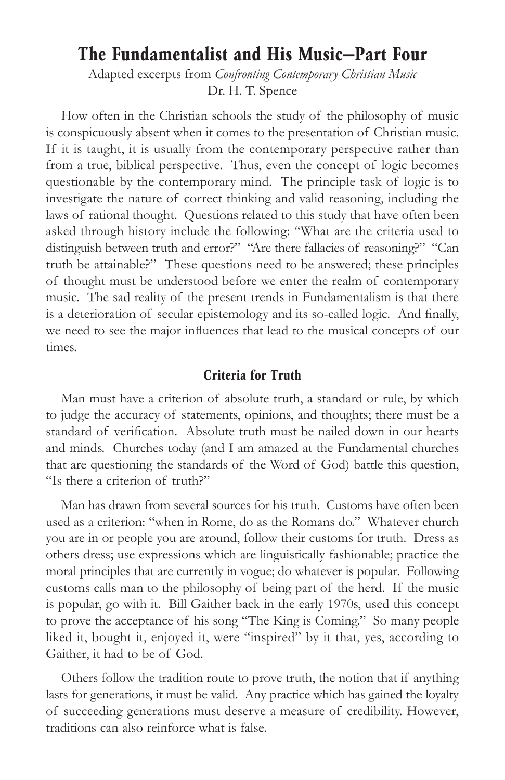## **The Fundamentalist and His Music—Part Four**

Adapted excerpts from *Confronting Contemporary Christian Music* Dr. H. T. Spence

How often in the Christian schools the study of the philosophy of music is conspicuously absent when it comes to the presentation of Christian music. If it is taught, it is usually from the contemporary perspective rather than from a true, biblical perspective. Thus, even the concept of logic becomes questionable by the contemporary mind. The principle task of logic is to investigate the nature of correct thinking and valid reasoning, including the laws of rational thought. Questions related to this study that have often been asked through history include the following: "What are the criteria used to distinguish between truth and error?" "Are there fallacies of reasoning?" "Can truth be attainable?" These questions need to be answered; these principles of thought must be understood before we enter the realm of contemporary music. The sad reality of the present trends in Fundamentalism is that there is a deterioration of secular epistemology and its so-called logic. And finally, we need to see the major influences that lead to the musical concepts of our times.

#### **Criteria for Truth**

Man must have a criterion of absolute truth, a standard or rule, by which to judge the accuracy of statements, opinions, and thoughts; there must be a standard of verification. Absolute truth must be nailed down in our hearts and minds. Churches today (and I am amazed at the Fundamental churches that are questioning the standards of the Word of God) battle this question, "Is there a criterion of truth?"

Man has drawn from several sources for his truth. Customs have often been used as a criterion: "when in Rome, do as the Romans do." Whatever church you are in or people you are around, follow their customs for truth. Dress as others dress; use expressions which are linguistically fashionable; practice the moral principles that are currently in vogue; do whatever is popular. Following customs calls man to the philosophy of being part of the herd. If the music is popular, go with it. Bill Gaither back in the early 1970s, used this concept to prove the acceptance of his song "The King is Coming." So many people liked it, bought it, enjoyed it, were "inspired" by it that, yes, according to Gaither, it had to be of God.

Others follow the tradition route to prove truth, the notion that if anything lasts for generations, it must be valid. Any practice which has gained the loyalty of succeeding generations must deserve a measure of credibility. However, traditions can also reinforce what is false.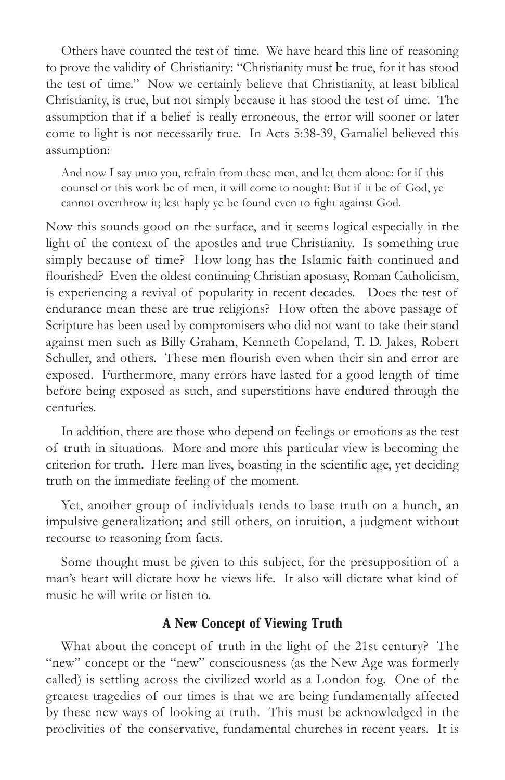Others have counted the test of time. We have heard this line of reasoning to prove the validity of Christianity: "Christianity must be true, for it has stood the test of time." Now we certainly believe that Christianity, at least biblical Christianity, is true, but not simply because it has stood the test of time. The assumption that if a belief is really erroneous, the error will sooner or later come to light is not necessarily true. In Acts 5:38-39, Gamaliel believed this assumption:

And now I say unto you, refrain from these men, and let them alone: for if this counsel or this work be of men, it will come to nought: But if it be of God, ye cannot overthrow it; lest haply ye be found even to fight against God.

Now this sounds good on the surface, and it seems logical especially in the light of the context of the apostles and true Christianity. Is something true simply because of time? How long has the Islamic faith continued and flourished? Even the oldest continuing Christian apostasy, Roman Catholicism, is experiencing a revival of popularity in recent decades. Does the test of endurance mean these are true religions? How often the above passage of Scripture has been used by compromisers who did not want to take their stand against men such as Billy Graham, Kenneth Copeland, T. D. Jakes, Robert Schuller, and others. These men flourish even when their sin and error are exposed. Furthermore, many errors have lasted for a good length of time before being exposed as such, and superstitions have endured through the centuries.

In addition, there are those who depend on feelings or emotions as the test of truth in situations. More and more this particular view is becoming the criterion for truth. Here man lives, boasting in the scientific age, yet deciding truth on the immediate feeling of the moment.

Yet, another group of individuals tends to base truth on a hunch, an impulsive generalization; and still others, on intuition, a judgment without recourse to reasoning from facts.

Some thought must be given to this subject, for the presupposition of a man's heart will dictate how he views life. It also will dictate what kind of music he will write or listen to.

#### **A New Concept of Viewing Truth**

What about the concept of truth in the light of the 21st century? The "new" concept or the "new" consciousness (as the New Age was formerly called) is settling across the civilized world as a London fog. One of the greatest tragedies of our times is that we are being fundamentally affected by these new ways of looking at truth. This must be acknowledged in the proclivities of the conservative, fundamental churches in recent years. It is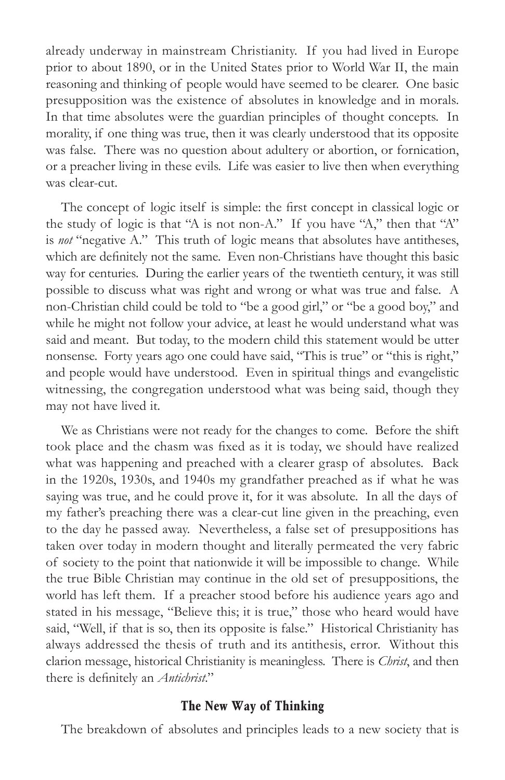already underway in mainstream Christianity. If you had lived in Europe prior to about 1890, or in the United States prior to World War II, the main reasoning and thinking of people would have seemed to be clearer. One basic presupposition was the existence of absolutes in knowledge and in morals. In that time absolutes were the guardian principles of thought concepts. In morality, if one thing was true, then it was clearly understood that its opposite was false. There was no question about adultery or abortion, or fornication, or a preacher living in these evils. Life was easier to live then when everything was clear-cut.

The concept of logic itself is simple: the first concept in classical logic or the study of logic is that "A is not non-A." If you have "A," then that "A" is *not* "negative A." This truth of logic means that absolutes have antitheses, which are definitely not the same. Even non-Christians have thought this basic way for centuries. During the earlier years of the twentieth century, it was still possible to discuss what was right and wrong or what was true and false. A non-Christian child could be told to "be a good girl," or "be a good boy," and while he might not follow your advice, at least he would understand what was said and meant. But today, to the modern child this statement would be utter nonsense. Forty years ago one could have said, "This is true" or "this is right," and people would have understood. Even in spiritual things and evangelistic witnessing, the congregation understood what was being said, though they may not have lived it.

We as Christians were not ready for the changes to come. Before the shift took place and the chasm was fixed as it is today, we should have realized what was happening and preached with a clearer grasp of absolutes. Back in the 1920s, 1930s, and 1940s my grandfather preached as if what he was saying was true, and he could prove it, for it was absolute. In all the days of my father's preaching there was a clear-cut line given in the preaching, even to the day he passed away. Nevertheless, a false set of presuppositions has taken over today in modern thought and literally permeated the very fabric of society to the point that nationwide it will be impossible to change. While the true Bible Christian may continue in the old set of presuppositions, the world has left them. If a preacher stood before his audience years ago and stated in his message, "Believe this; it is true," those who heard would have said, "Well, if that is so, then its opposite is false." Historical Christianity has always addressed the thesis of truth and its antithesis, error. Without this clarion message, historical Christianity is meaningless. There is *Christ*, and then there is definitely an *Antichrist*."

#### **The New Way of Thinking**

The breakdown of absolutes and principles leads to a new society that is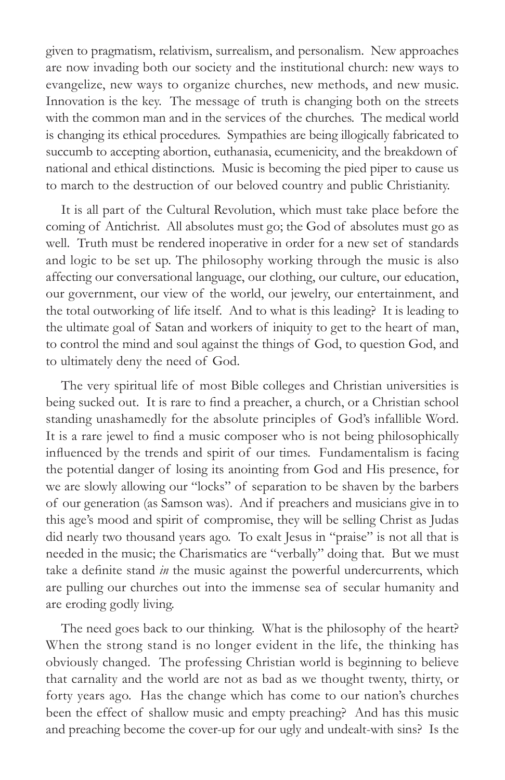given to pragmatism, relativism, surrealism, and personalism. New approaches are now invading both our society and the institutional church: new ways to evangelize, new ways to organize churches, new methods, and new music. Innovation is the key. The message of truth is changing both on the streets with the common man and in the services of the churches. The medical world is changing its ethical procedures. Sympathies are being illogically fabricated to succumb to accepting abortion, euthanasia, ecumenicity, and the breakdown of national and ethical distinctions. Music is becoming the pied piper to cause us to march to the destruction of our beloved country and public Christianity.

It is all part of the Cultural Revolution, which must take place before the coming of Antichrist. All absolutes must go; the God of absolutes must go as well. Truth must be rendered inoperative in order for a new set of standards and logic to be set up. The philosophy working through the music is also affecting our conversational language, our clothing, our culture, our education, our government, our view of the world, our jewelry, our entertainment, and the total outworking of life itself. And to what is this leading? It is leading to the ultimate goal of Satan and workers of iniquity to get to the heart of man, to control the mind and soul against the things of God, to question God, and to ultimately deny the need of God.

The very spiritual life of most Bible colleges and Christian universities is being sucked out. It is rare to find a preacher, a church, or a Christian school standing unashamedly for the absolute principles of God's infallible Word. It is a rare jewel to find a music composer who is not being philosophically influenced by the trends and spirit of our times. Fundamentalism is facing the potential danger of losing its anointing from God and His presence, for we are slowly allowing our "locks" of separation to be shaven by the barbers of our generation (as Samson was). And if preachers and musicians give in to this age's mood and spirit of compromise, they will be selling Christ as Judas did nearly two thousand years ago. To exalt Jesus in "praise" is not all that is needed in the music; the Charismatics are "verbally" doing that. But we must take a definite stand *in* the music against the powerful undercurrents, which are pulling our churches out into the immense sea of secular humanity and are eroding godly living.

The need goes back to our thinking. What is the philosophy of the heart? When the strong stand is no longer evident in the life, the thinking has obviously changed. The professing Christian world is beginning to believe that carnality and the world are not as bad as we thought twenty, thirty, or forty years ago. Has the change which has come to our nation's churches been the effect of shallow music and empty preaching? And has this music and preaching become the cover-up for our ugly and undealt-with sins? Is the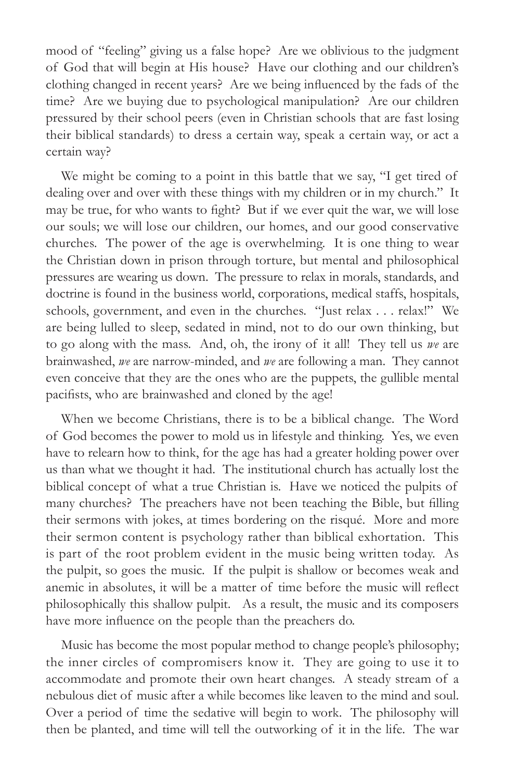mood of "feeling" giving us a false hope? Are we oblivious to the judgment of God that will begin at His house? Have our clothing and our children's clothing changed in recent years? Are we being influenced by the fads of the time? Are we buying due to psychological manipulation? Are our children pressured by their school peers (even in Christian schools that are fast losing their biblical standards) to dress a certain way, speak a certain way, or act a certain way?

We might be coming to a point in this battle that we say, "I get tired of dealing over and over with these things with my children or in my church." It may be true, for who wants to fight? But if we ever quit the war, we will lose our souls; we will lose our children, our homes, and our good conservative churches. The power of the age is overwhelming. It is one thing to wear the Christian down in prison through torture, but mental and philosophical pressures are wearing us down. The pressure to relax in morals, standards, and doctrine is found in the business world, corporations, medical staffs, hospitals, schools, government, and even in the churches. "Just relax . . . relax!" We are being lulled to sleep, sedated in mind, not to do our own thinking, but to go along with the mass. And, oh, the irony of it all! They tell us *we* are brainwashed, *we* are narrow-minded, and *we* are following a man. They cannot even conceive that they are the ones who are the puppets, the gullible mental pacifists, who are brainwashed and cloned by the age!

When we become Christians, there is to be a biblical change. The Word of God becomes the power to mold us in lifestyle and thinking. Yes, we even have to relearn how to think, for the age has had a greater holding power over us than what we thought it had. The institutional church has actually lost the biblical concept of what a true Christian is. Have we noticed the pulpits of many churches? The preachers have not been teaching the Bible, but filling their sermons with jokes, at times bordering on the risqué. More and more their sermon content is psychology rather than biblical exhortation. This is part of the root problem evident in the music being written today. As the pulpit, so goes the music. If the pulpit is shallow or becomes weak and anemic in absolutes, it will be a matter of time before the music will reflect philosophically this shallow pulpit. As a result, the music and its composers have more influence on the people than the preachers do.

Music has become the most popular method to change people's philosophy; the inner circles of compromisers know it. They are going to use it to accommodate and promote their own heart changes. A steady stream of a nebulous diet of music after a while becomes like leaven to the mind and soul. Over a period of time the sedative will begin to work. The philosophy will then be planted, and time will tell the outworking of it in the life. The war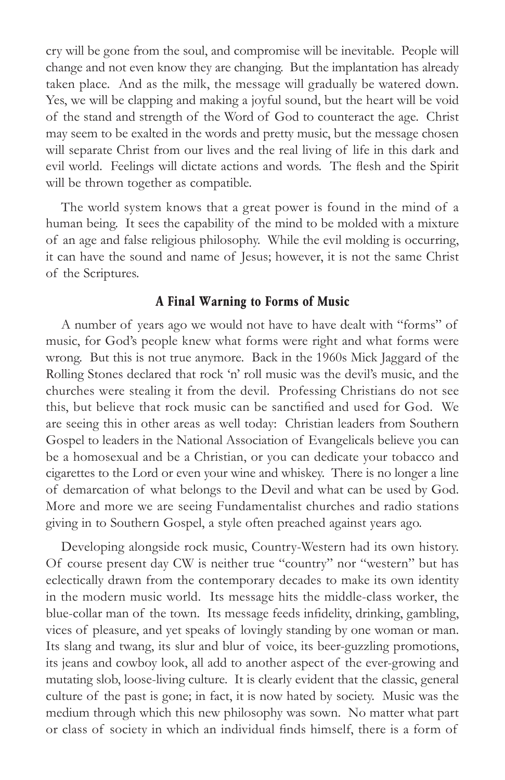cry will be gone from the soul, and compromise will be inevitable. People will change and not even know they are changing. But the implantation has already taken place. And as the milk, the message will gradually be watered down. Yes, we will be clapping and making a joyful sound, but the heart will be void of the stand and strength of the Word of God to counteract the age. Christ may seem to be exalted in the words and pretty music, but the message chosen will separate Christ from our lives and the real living of life in this dark and evil world. Feelings will dictate actions and words. The flesh and the Spirit will be thrown together as compatible.

The world system knows that a great power is found in the mind of a human being. It sees the capability of the mind to be molded with a mixture of an age and false religious philosophy. While the evil molding is occurring, it can have the sound and name of Jesus; however, it is not the same Christ of the Scriptures.

#### **A Final Warning to Forms of Music**

A number of years ago we would not have to have dealt with "forms" of music, for God's people knew what forms were right and what forms were wrong. But this is not true anymore. Back in the 1960s Mick Jaggard of the Rolling Stones declared that rock 'n' roll music was the devil's music, and the churches were stealing it from the devil. Professing Christians do not see this, but believe that rock music can be sanctified and used for God. We are seeing this in other areas as well today: Christian leaders from Southern Gospel to leaders in the National Association of Evangelicals believe you can be a homosexual and be a Christian, or you can dedicate your tobacco and cigarettes to the Lord or even your wine and whiskey. There is no longer a line of demarcation of what belongs to the Devil and what can be used by God. More and more we are seeing Fundamentalist churches and radio stations giving in to Southern Gospel, a style often preached against years ago.

Developing alongside rock music, Country-Western had its own history. Of course present day CW is neither true "country" nor "western" but has eclectically drawn from the contemporary decades to make its own identity in the modern music world. Its message hits the middle-class worker, the blue-collar man of the town. Its message feeds infidelity, drinking, gambling, vices of pleasure, and yet speaks of lovingly standing by one woman or man. Its slang and twang, its slur and blur of voice, its beer-guzzling promotions, its jeans and cowboy look, all add to another aspect of the ever-growing and mutating slob, loose-living culture. It is clearly evident that the classic, general culture of the past is gone; in fact, it is now hated by society. Music was the medium through which this new philosophy was sown. No matter what part or class of society in which an individual finds himself, there is a form of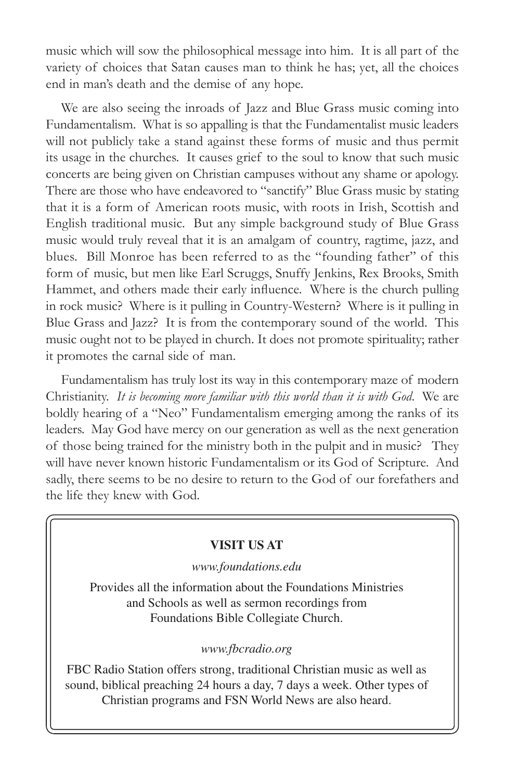music which will sow the philosophical message into him. It is all part of the variety of choices that Satan causes man to think he has; yet, all the choices end in man's death and the demise of any hope.

We are also seeing the inroads of Jazz and Blue Grass music coming into Fundamentalism. What is so appalling is that the Fundamentalist music leaders will not publicly take a stand against these forms of music and thus permit its usage in the churches. It causes grief to the soul to know that such music concerts are being given on Christian campuses without any shame or apology. There are those who have endeavored to "sanctify" Blue Grass music by stating that it is a form of American roots music, with roots in Irish, Scottish and English traditional music. But any simple background study of Blue Grass music would truly reveal that it is an amalgam of country, ragtime, jazz, and blues. Bill Monroe has been referred to as the "founding father" of this form of music, but men like Earl Scruggs, Snuffy Jenkins, Rex Brooks, Smith Hammet, and others made their early influence. Where is the church pulling in rock music? Where is it pulling in Country-Western? Where is it pulling in Blue Grass and Jazz? It is from the contemporary sound of the world. This music ought not to be played in church. It does not promote spirituality; rather it promotes the carnal side of man.

Fundamentalism has truly lost its way in this contemporary maze of modern Christianity. *It is becoming more familiar with this world than it is with God*. We are boldly hearing of a "Neo" Fundamentalism emerging among the ranks of its leaders. May God have mercy on our generation as well as the next generation of those being trained for the ministry both in the pulpit and in music? They will have never known historic Fundamentalism or its God of Scripture. And sadly, there seems to be no desire to return to the God of our forefathers and the life they knew with God.

#### **VISIT US AT**

*www.foundations.edu*

Provides all the information about the Foundations Ministries and Schools as well as sermon recordings from Foundations Bible Collegiate Church.

#### *www.fbcradio.org*

FBC Radio Station offers strong, traditional Christian music as well as sound, biblical preaching 24 hours a day, 7 days a week. Other types of Christian programs and FSN World News are also heard.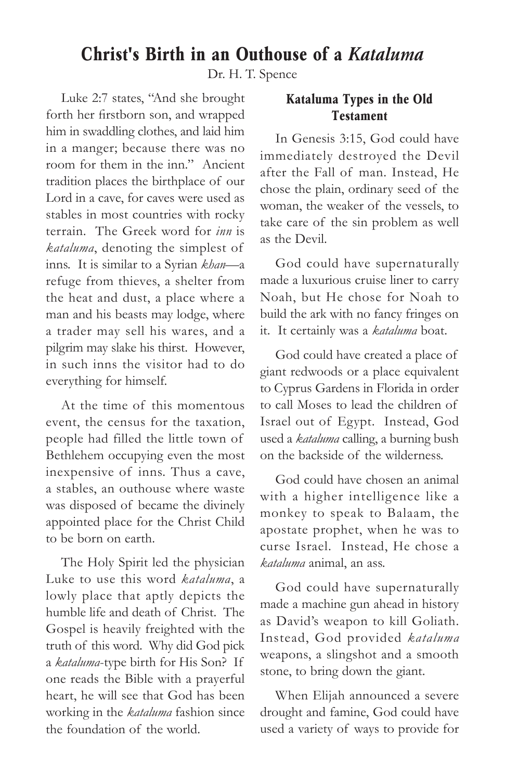## **Christ's Birth in an Outhouse of a** *Kataluma*

Dr. H. T. Spence

Luke 2:7 states, "And she brought forth her firstborn son, and wrapped him in swaddling clothes, and laid him in a manger; because there was no room for them in the inn." Ancient tradition places the birthplace of our Lord in a cave, for caves were used as stables in most countries with rocky terrain. The Greek word for *inn* is *kataluma*, denoting the simplest of inns. It is similar to a Syrian *khan*—a refuge from thieves, a shelter from the heat and dust, a place where a man and his beasts may lodge, where a trader may sell his wares, and a pilgrim may slake his thirst. However, in such inns the visitor had to do everything for himself.

At the time of this momentous event, the census for the taxation, people had filled the little town of Bethlehem occupying even the most inexpensive of inns. Thus a cave, a stables, an outhouse where waste was disposed of became the divinely appointed place for the Christ Child to be born on earth.

The Holy Spirit led the physician Luke to use this word *kataluma*, a lowly place that aptly depicts the humble life and death of Christ. The Gospel is heavily freighted with the truth of this word. Why did God pick a *kataluma*-type birth for His Son? If one reads the Bible with a prayerful heart, he will see that God has been working in the *kataluma* fashion since the foundation of the world.

#### **Kataluma Types in the Old Testament**

In Genesis 3:15, God could have immediately destroyed the Devil after the Fall of man. Instead, He chose the plain, ordinary seed of the woman, the weaker of the vessels, to take care of the sin problem as well as the Devil.

God could have supernaturally made a luxurious cruise liner to carry Noah, but He chose for Noah to build the ark with no fancy fringes on it. It certainly was a *kataluma* boat.

God could have created a place of giant redwoods or a place equivalent to Cyprus Gardens in Florida in order to call Moses to lead the children of Israel out of Egypt. Instead, God used a *kataluma* calling, a burning bush on the backside of the wilderness.

God could have chosen an animal with a higher intelligence like a monkey to speak to Balaam, the apostate prophet, when he was to curse Israel. Instead, He chose a *kataluma* animal, an ass.

God could have supernaturally made a machine gun ahead in history as David's weapon to kill Goliath. Instead, God provided *kataluma* weapons, a slingshot and a smooth stone, to bring down the giant.

When Elijah announced a severe drought and famine, God could have used a variety of ways to provide for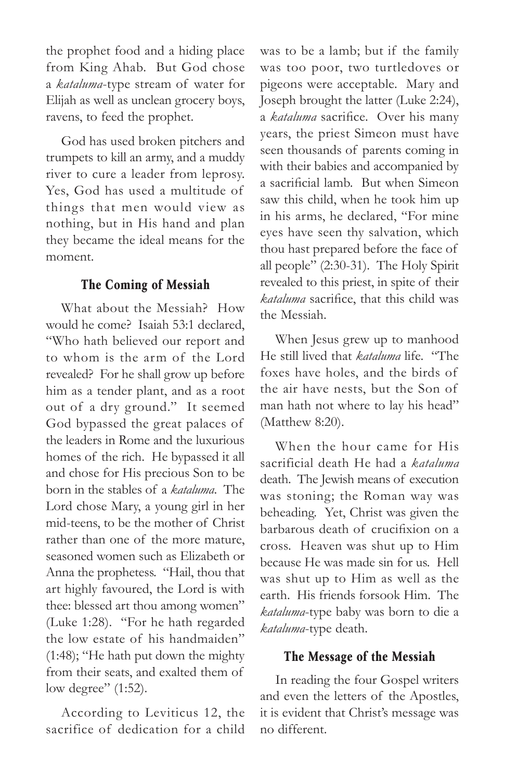the prophet food and a hiding place from King Ahab. But God chose a *kataluma*-type stream of water for Elijah as well as unclean grocery boys, ravens, to feed the prophet.

God has used broken pitchers and trumpets to kill an army, and a muddy river to cure a leader from leprosy. Yes, God has used a multitude of things that men would view as nothing, but in His hand and plan they became the ideal means for the moment.

#### **The Coming of Messiah**

What about the Messiah? How would he come? Isaiah 53:1 declared, "Who hath believed our report and to whom is the arm of the Lord revealed? For he shall grow up before him as a tender plant, and as a root out of a dry ground." It seemed God bypassed the great palaces of the leaders in Rome and the luxurious homes of the rich. He bypassed it all and chose for His precious Son to be born in the stables of a *kataluma*. The Lord chose Mary, a young girl in her mid-teens, to be the mother of Christ rather than one of the more mature, seasoned women such as Elizabeth or Anna the prophetess. "Hail, thou that art highly favoured, the Lord is with thee: blessed art thou among women" (Luke 1:28). "For he hath regarded the low estate of his handmaiden" (1:48); "He hath put down the mighty from their seats, and exalted them of low degree" (1:52).

According to Leviticus 12, the sacrifice of dedication for a child was to be a lamb; but if the family was too poor, two turtledoves or pigeons were acceptable. Mary and Joseph brought the latter (Luke 2:24), a *kataluma* sacrifice. Over his many years, the priest Simeon must have seen thousands of parents coming in with their babies and accompanied by a sacrificial lamb. But when Simeon saw this child, when he took him up in his arms, he declared, "For mine eyes have seen thy salvation, which thou hast prepared before the face of all people" (2:30-31). The Holy Spirit revealed to this priest, in spite of their *kataluma* sacrifice, that this child was the Messiah.

When Jesus grew up to manhood He still lived that *kataluma* life. "The foxes have holes, and the birds of the air have nests, but the Son of man hath not where to lay his head" (Matthew 8:20).

When the hour came for His sacrificial death He had a *kataluma* death. The Jewish means of execution was stoning; the Roman way was beheading. Yet, Christ was given the barbarous death of crucifixion on a cross. Heaven was shut up to Him because He was made sin for us. Hell was shut up to Him as well as the earth. His friends forsook Him. The *kataluma*-type baby was born to die a *kataluma*-type death.

#### **The Message of the Messiah**

In reading the four Gospel writers and even the letters of the Apostles, it is evident that Christ's message was no different.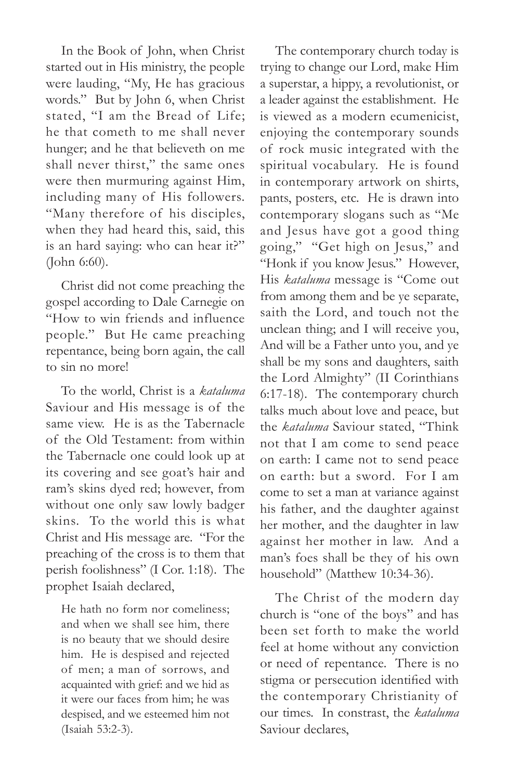In the Book of John, when Christ started out in His ministry, the people were lauding, "My, He has gracious words." But by John 6, when Christ stated, "I am the Bread of Life; he that cometh to me shall never hunger; and he that believeth on me shall never thirst," the same ones were then murmuring against Him, including many of His followers. "Many therefore of his disciples, when they had heard this, said, this is an hard saying: who can hear it?" (John 6:60).

Christ did not come preaching the gospel according to Dale Carnegie on "How to win friends and influence people." But He came preaching repentance, being born again, the call to sin no more!

To the world, Christ is a *kataluma*  Saviour and His message is of the same view. He is as the Tabernacle of the Old Testament: from within the Tabernacle one could look up at its covering and see goat's hair and ram's skins dyed red; however, from without one only saw lowly badger skins. To the world this is what Christ and His message are. "For the preaching of the cross is to them that perish foolishness" (I Cor. 1:18). The prophet Isaiah declared,

He hath no form nor comeliness; and when we shall see him, there is no beauty that we should desire him. He is despised and rejected of men; a man of sorrows, and acquainted with grief: and we hid as it were our faces from him; he was despised, and we esteemed him not (Isaiah 53:2-3).

The contemporary church today is trying to change our Lord, make Him a superstar, a hippy, a revolutionist, or a leader against the establishment. He is viewed as a modern ecumenicist, enjoying the contemporary sounds of rock music integrated with the spiritual vocabulary. He is found in contemporary artwork on shirts, pants, posters, etc. He is drawn into contemporary slogans such as "Me and Jesus have got a good thing going," "Get high on Jesus," and "Honk if you know Jesus." However, His *kataluma* message is "Come out from among them and be ye separate, saith the Lord, and touch not the unclean thing; and I will receive you, And will be a Father unto you, and ye shall be my sons and daughters, saith the Lord Almighty" (II Corinthians 6:17-18). The contemporary church talks much about love and peace, but the *kataluma* Saviour stated, "Think not that I am come to send peace on earth: I came not to send peace on earth: but a sword. For I am come to set a man at variance against his father, and the daughter against her mother, and the daughter in law against her mother in law. And a man's foes shall be they of his own household" (Matthew 10:34-36).

The Christ of the modern day church is "one of the boys" and has been set forth to make the world feel at home without any conviction or need of repentance. There is no stigma or persecution identified with the contemporary Christianity of our times. In constrast, the *kataluma*  Saviour declares,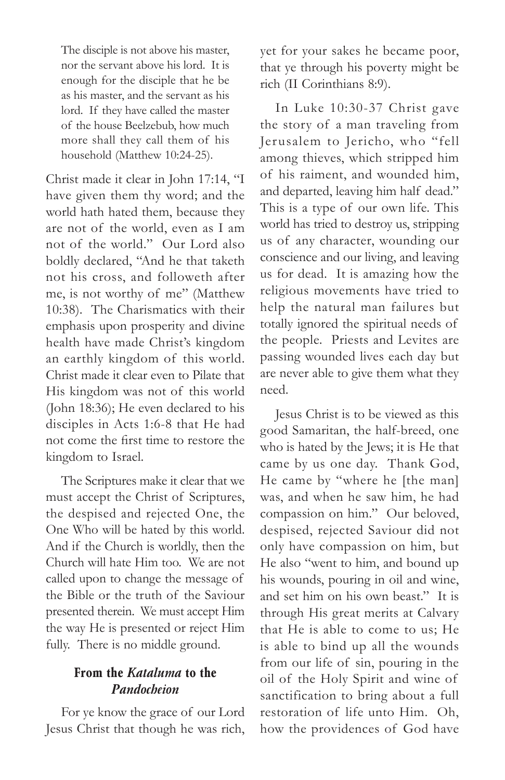The disciple is not above his master, nor the servant above his lord. It is enough for the disciple that he be as his master, and the servant as his lord. If they have called the master of the house Beelzebub, how much more shall they call them of his household (Matthew 10:24-25).

Christ made it clear in John 17:14, "I have given them thy word; and the world hath hated them, because they are not of the world, even as I am not of the world." Our Lord also boldly declared, "And he that taketh not his cross, and followeth after me, is not worthy of me" (Matthew 10:38). The Charismatics with their emphasis upon prosperity and divine health have made Christ's kingdom an earthly kingdom of this world. Christ made it clear even to Pilate that His kingdom was not of this world (John 18:36); He even declared to his disciples in Acts 1:6-8 that He had not come the first time to restore the kingdom to Israel.

The Scriptures make it clear that we must accept the Christ of Scriptures, the despised and rejected One, the One Who will be hated by this world. And if the Church is worldly, then the Church will hate Him too. We are not called upon to change the message of the Bible or the truth of the Saviour presented therein. We must accept Him the way He is presented or reject Him fully. There is no middle ground.

#### **From the** *Kataluma* **to the**  *Pandocheion*

For ye know the grace of our Lord Jesus Christ that though he was rich, yet for your sakes he became poor, that ye through his poverty might be rich (II Corinthians 8:9).

In Luke 10:30-37 Christ gave the story of a man traveling from Jerusalem to Jericho, who "fell among thieves, which stripped him of his raiment, and wounded him, and departed, leaving him half dead." This is a type of our own life. This world has tried to destroy us, stripping us of any character, wounding our conscience and our living, and leaving us for dead. It is amazing how the religious movements have tried to help the natural man failures but totally ignored the spiritual needs of the people. Priests and Levites are passing wounded lives each day but are never able to give them what they need.

Jesus Christ is to be viewed as this good Samaritan, the half-breed, one who is hated by the Jews; it is He that came by us one day. Thank God, He came by "where he [the man] was, and when he saw him, he had compassion on him." Our beloved, despised, rejected Saviour did not only have compassion on him, but He also "went to him, and bound up his wounds, pouring in oil and wine, and set him on his own beast." It is through His great merits at Calvary that He is able to come to us; He is able to bind up all the wounds from our life of sin, pouring in the oil of the Holy Spirit and wine of sanctification to bring about a full restoration of life unto Him. Oh, how the providences of God have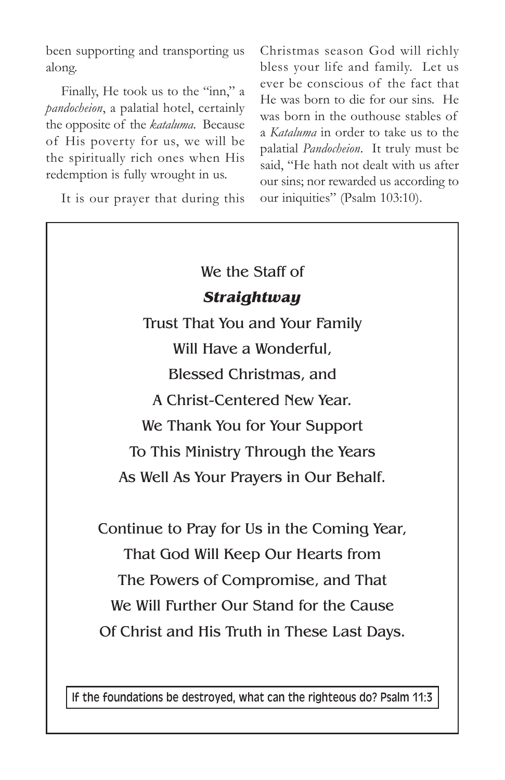been supporting and transporting us along.

Finally, He took us to the "inn," a *pandocheion*, a palatial hotel, certainly the opposite of the *kataluma*. Because of His poverty for us, we will be the spiritually rich ones when His redemption is fully wrought in us.

It is our prayer that during this

Christmas season God will richly bless your life and family. Let us ever be conscious of the fact that He was born to die for our sins. He was born in the outhouse stables of a *Kataluma* in order to take us to the palatial *Pandocheion*. It truly must be said, "He hath not dealt with us after our sins; nor rewarded us according to our iniquities" (Psalm 103:10).

# We the Staff of *Straightway*

Trust That You and Your Family Will Have a Wonderful, Blessed Christmas, and A Christ-Centered New Year. We Thank You for Your Support To This Ministry Through the Years As Well As Your Prayers in Our Behalf.

Continue to Pray for Us in the Coming Year, That God Will Keep Our Hearts from The Powers of Compromise, and That We Will Further Our Stand for the Cause Of Christ and His Truth in These Last Days.

If the foundations be destroyed, what can the righteous do? Psalm 11:3